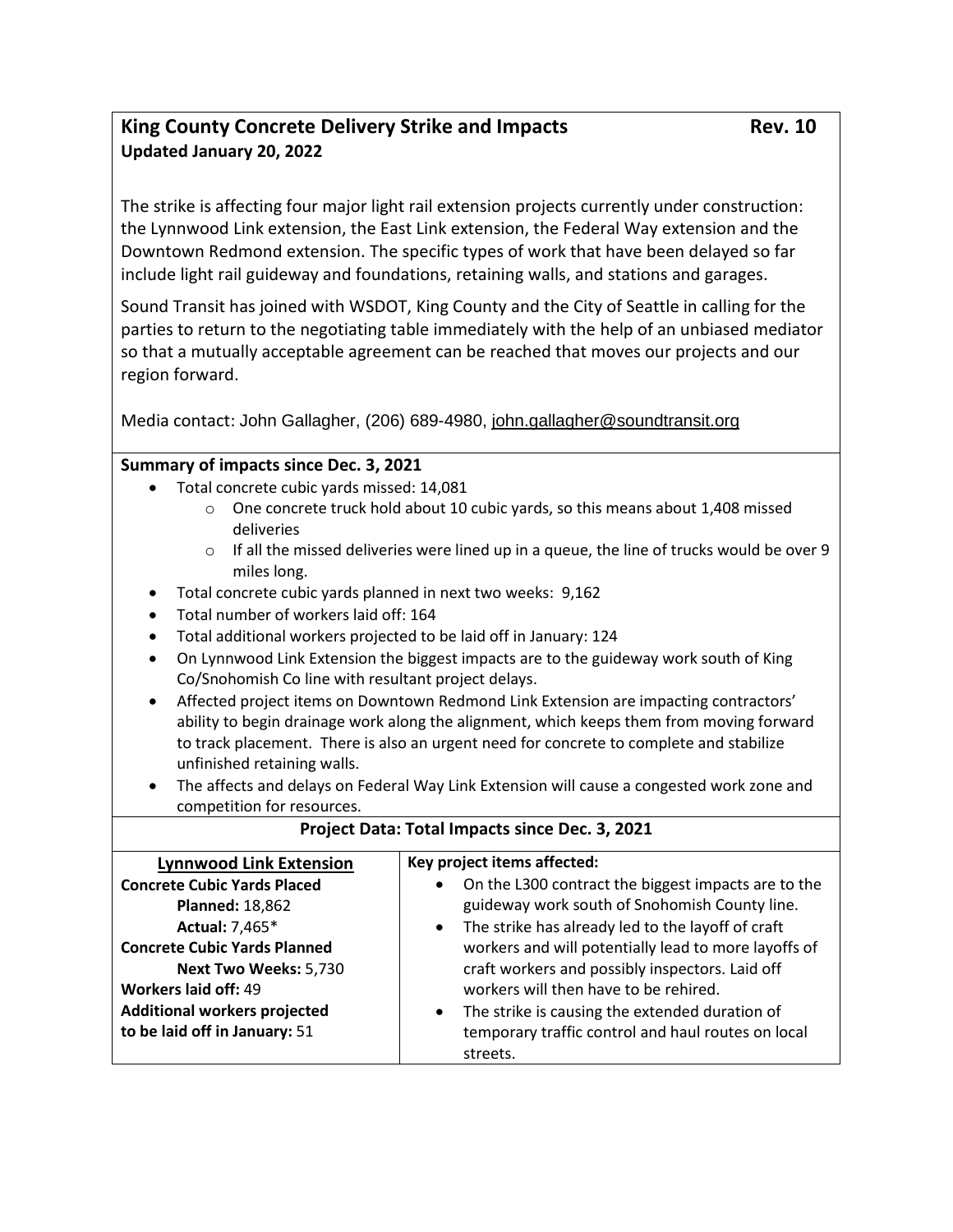## King County Concrete Delivery Strike and Impacts **Rev. 10** Rev. 10 **Updated January 20, 2022**

The strike is affecting four major light rail extension projects currently under construction: the Lynnwood Link extension, the East Link extension, the Federal Way extension and the Downtown Redmond extension. The specific types of work that have been delayed so far include light rail guideway and foundations, retaining walls, and stations and garages.

Sound Transit has joined with WSDOT, King County and the City of Seattle in calling for the parties to return to the negotiating table immediately with the help of an unbiased mediator so that a mutually acceptable agreement can be reached that moves our projects and our region forward.

Media contact: John Gallagher, (206) 689-4980, [john.gallagher@soundtransit.org](mailto:john.gallagher@soundtransit.org)

## **Summary of impacts since Dec. 3, 2021**

- Total concrete cubic yards missed: 14,081
	- $\circ$  One concrete truck hold about 10 cubic yards, so this means about 1,408 missed deliveries
	- $\circ$  If all the missed deliveries were lined up in a queue, the line of trucks would be over 9 miles long.
- Total concrete cubic yards planned in next two weeks:  9,162
- Total number of workers laid off: 164
- Total additional workers projected to be laid off in January: 124
- On Lynnwood Link Extension the biggest impacts are to the guideway work south of King Co/Snohomish Co line with resultant project delays.
- Affected project items on Downtown Redmond Link Extension are impacting contractors' ability to begin drainage work along the alignment, which keeps them from moving forward to track placement. There is also an urgent need for concrete to complete and stabilize unfinished retaining walls.
- The affects and delays on Federal Way Link Extension will cause a congested work zone and competition for resources.

| Project Data: Total Impacts since Dec. 3, 2021                                                                                                 |                                                                                                                                                                                                                                                                                                |
|------------------------------------------------------------------------------------------------------------------------------------------------|------------------------------------------------------------------------------------------------------------------------------------------------------------------------------------------------------------------------------------------------------------------------------------------------|
| <b>Lynnwood Link Extension</b>                                                                                                                 | Key project items affected:                                                                                                                                                                                                                                                                    |
| <b>Concrete Cubic Yards Placed</b><br><b>Planned: 18,862</b><br>Actual: 7,465*<br><b>Concrete Cubic Yards Planned</b><br>Next Two Weeks: 5,730 | On the L300 contract the biggest impacts are to the<br>$\bullet$<br>guideway work south of Snohomish County line.<br>The strike has already led to the layoff of craft<br>$\bullet$<br>workers and will potentially lead to more layoffs of<br>craft workers and possibly inspectors. Laid off |
| Workers laid off: 49<br><b>Additional workers projected</b><br>to be laid off in January: 51                                                   | workers will then have to be rehired.<br>The strike is causing the extended duration of<br>$\bullet$<br>temporary traffic control and haul routes on local<br>streets.                                                                                                                         |